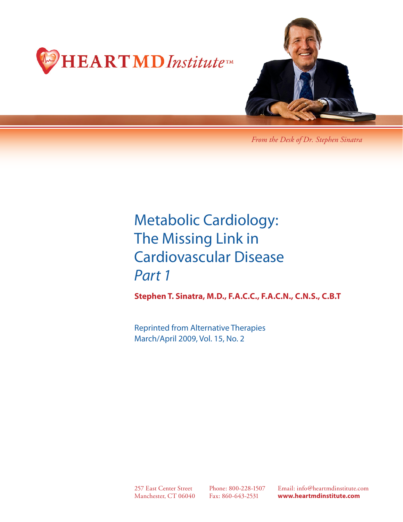



*From the Desk of Dr. Stephen Sinatra*

# Metabolic Cardiology: The Missing Link in Cardiovascular Disease *Part 1*

**Stephen T. Sinatra, M.D., F.A.C.C., F.A.C.N., C.N.S., C.B.T**

Reprinted from Alternative Therapies March/April 2009, Vol. 15, No. 2

257 East Center Street Manchester, CT 06040

Phone: 800-228-1507 Fax: 860-643-2531

Email: info@heartmdinstitute.com **www.heartmdinstitute.com**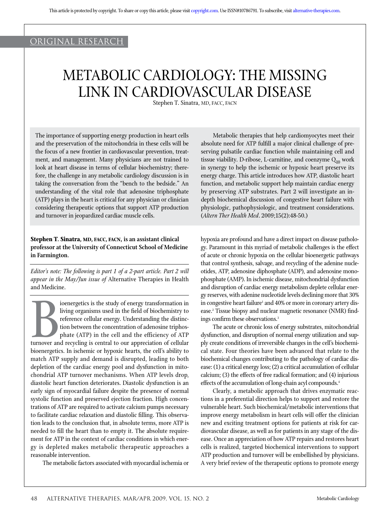## original research

## METABOLIC CARDIOLOGY: THE MISSING LINK IN CARDIOVASCULAR DISEASE

Stephen T. Sinatra, MD, FACC, FACN

The importance of supporting energy production in heart cells and the preservation of the mitochondria in these cells will be the focus of a new frontier in cardiovascular prevention, treatment, and management. Many physicians are not trained to look at heart disease in terms of cellular biochemistry; therefore, the challenge in any metabolic cardiology discussion is in taking the conversation from the "bench to the bedside." An understanding of the vital role that adenosine triphosphate (ATP) plays in the heart is critical for any physician or clinician considering therapeutic options that support ATP production and turnover in jeopardized cardiac muscle cells.

### **Stephen T. Sinatra, MD, FACC, FACN, is an assistant clinical professor at the University of Connecticut School of Medicine in Farmington.**

*Editor's note: The following is part 1 of a 2-part article. Part 2 will appear in the May/Jun issue of* Alternative Therapies in Health and Medicine.

**Barbara**<br>Bioenergetic ioenergetics is the study of energy transformation in living organisms used in the field of biochemistry to reference cellular energy. Understanding the distinction between the concentration of adenosine triphosphate (ATP) in the cell and the efficiency of ATP turnover and recycling is central to our appreciation of cellular bioenergetics. In ischemic or hypoxic hearts, the cell's ability to match ATP supply and demand is disrupted, leading to both depletion of the cardiac energy pool and dysfunction in mitochondrial ATP turnover mechanisms. When ATP levels drop, diastolic heart function deteriorates. Diastolic dysfunction is an early sign of myocardial failure despite the presence of normal systolic function and preserved ejection fraction. High concentrations of ATP are required to activate calcium pumps necessary to facilitate cardiac relaxation and diastolic filling. This observation leads to the conclusion that, in absolute terms, more ATP is needed to fill the heart than to empty it. The absolute requirement for ATP in the context of cardiac conditions in which energy is depleted makes metabolic therapeutic approaches a reasonable intervention.

The metabolic factors associated with myocardial ischemia or

Metabolic therapies that help cardiomyocytes meet their absolute need for ATP fulfill a major clinical challenge of preserving pulsatile cardiac function while maintaining cell and tissue viability. D-ribose, L-carnitine, and coenzyme  $Q_{10}$  work in synergy to help the ischemic or hypoxic heart preserve its energy charge. This article introduces how ATP, diastolic heart function, and metabolic support help maintain cardiac energy by preserving ATP substrates. Part 2 will investigate an indepth biochemical discussion of congestive heart failure with physiologic, pathophysiologic, and treatment considerations. (*Altern Ther Health Med*. 2009;15(2):48-50.)

hypoxia are profound and have a direct impact on disease pathology. Paramount in this myriad of metabolic challenges is the effect of acute or chronic hypoxia on the cellular bioenergetic pathways that control synthesis, salvage, and recycling of the adenine nucleotides, ATP, adenosine diphosphate (ADP), and adenosine monophosphate (AMP). In ischemic disease, mitochondrial dysfunction and disruption of cardiac energy metabolism deplete cellular energy reserves, with adenine nucleotide levels declining more that 30% in congestive heart failure<sup>1</sup> and 40% or more in coronary artery disease.<sup>2</sup> Tissue biopsy and nuclear magnetic resonance (NMR) findings confirm these observations. $3$ 

The acute or chronic loss of energy substrates, mitochondrial dysfunction, and disruption of normal energy utilization and supply create conditions of irreversible changes in the cell's biochemical state. Four theories have been advanced that relate to the biochemical changes contributing to the pathology of cardiac disease: (1) a critical energy loss; (2) a critical accumulation of cellular calcium; (3) the effects of free radical formation; and (4) injurious effects of the accumulation of long-chain acyl compounds.<sup>4</sup>

Clearly, a metabolic approach that drives enzymatic reactions in a preferential direction helps to support and restore the vulnerable heart. Such biochemical/metabolic interventions that improve energy metabolism in heart cells will offer the clinician new and exciting treatment options for patients at risk for cardiovascular disease, as well as for patients in any stage of the disease. Once an appreciation of how ATP repairs and restores heart cells is realized, targeted biochemical interventions to support ATP production and turnover will be embellished by physicians. A very brief review of the therapeutic options to promote energy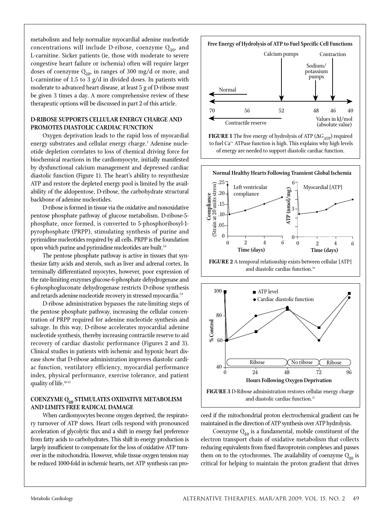metabolism and help normalize myocardial adenine nucleotide concentrations will include D-ribose, coenzyme  $Q_{10}$ , and L-carnitine. Sicker patients (ie, those with moderate to severe congestive heart failure or ischemia) often will require larger doses of coenzyme  $Q_{10}$ , in ranges of 300 mg/d or more, and L-carnintine of 1.5 to 3 g/d in divided doses. In patients with moderate to advanced heart disease, at least 5 g of D-ribose must be given 3 times a day. A more comprehensive review of these therapeutic options will be discussed in part 2 of this article.

## **D-RIBOSE SUPPORTS CELLULAR ENERGY CHARGE AND PROMOTES DIASTOLIC CARDIAC FUNCTION**

Oxygen deprivation leads to the rapid loss of myocardial energy substrates and cellular energy charge.<del>'</del> Adenine nucleotide depletion correlates to loss of chemical driving force for biochemical reactions in the cardiomyocyte, initially manifested by dysfunctional calcium management and depressed cardiac diastolic function (Figure 1). The heart's ability to resynthesize ATP and restore the depleted energy pool is limited by the availability of the aldopentose, D-ribose, the carbohydrate structural backbone of adenine nucleotides.

D-ribose is formed in tissue via the oxidative and nonoxidative pentose phosphate pathway of glucose metabolism. D-ribose-5 phosphate, once formed, is converted to 5-phosphoribosyl-1 pyrophosphate (PRPP), stimulating synthesis of purine and pyrimidine nucleotides required by all cells. PRPP is the foundation upon which purine and pyrimidine nucleotides are built.<sup>5,6</sup>

The pentose phosphate pathway is active in tissues that synthesize fatty acids and sterols, such as liver and adrenal cortex. In terminally differentiated myocytes, however, poor expression of the rate-limiting enzymes glucose-6-phosphate dehydrogenase and 6-phosphogluconate dehydrogenase restricts D-ribose synthesis and retards adenine nucleotide recovery in stressed myocardia.<sup>7-9</sup>

D-ribose administration bypasses the rate-limiting steps of the pentose phosphate pathway, increasing the cellular concentration of PRPP required for adenine nucleotide synthesis and salvage. In this way, D-ribose accelerates myocardial adenine nucleotide synthesis, thereby increasing contractile reserve to aid recovery of cardiac diastolic performance (Figures 2 and 3). Clinical studies in patients with ischemic and hypoxic heart disease show that D-ribose administration improves diastolic cardiac function, ventilatory efficiency, myocardial performance index, physical performance, exercise tolerance, and patient quality of life.10-13

#### **COENZYME Q10 STIMULATES OXIDATIVE METABOLISM AND LIMITS FREE RADICAL DAMAGE**

When cardiomyocytes become oxygen deprived, the respiratory turnover of ATP slows. Heart cells respond with pronounced acceleration of glycolytic flux and a shift in energy fuel preference from fatty acids to carbohydrates. This shift in energy production is largely insufficient to compensate for the loss of oxidative ATP turnover in the mitochondria. However, while tissue oxygen tension may be reduced 1000-fold in ischemic hearts, net ATP synthesis can pro-









ceed if the mitochondrial proton electrochemical gradient can be maintained in the direction of ATP synthesis over ATP hydrolysis.

Coenzyme  $Q_{10}$  is a fundamental, mobile constituent of the electron transport chain of oxidative metabolism that collects reducing equivalents from fixed flavoprotein complexes and passes them on to the cytochromes. The availability of coenzyme  $Q_{10}$  is critical for helping to maintain the proton gradient that drives